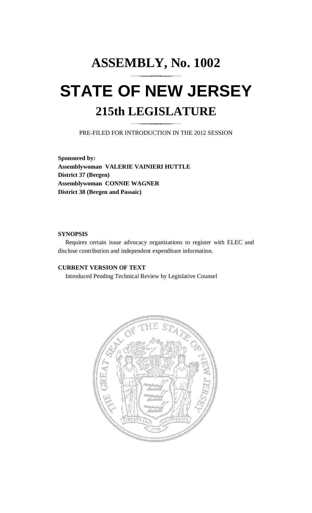# **ASSEMBLY, No. 1002 STATE OF NEW JERSEY 215th LEGISLATURE**

PRE-FILED FOR INTRODUCTION IN THE 2012 SESSION

**Sponsored by: Assemblywoman VALERIE VAINIERI HUTTLE District 37 (Bergen) Assemblywoman CONNIE WAGNER District 38 (Bergen and Passaic)** 

## **SYNOPSIS**

 Requires certain issue advocacy organizations to register with ELEC and disclose contribution and independent expenditure information.

## **CURRENT VERSION OF TEXT**

Introduced Pending Technical Review by Legislative Counsel

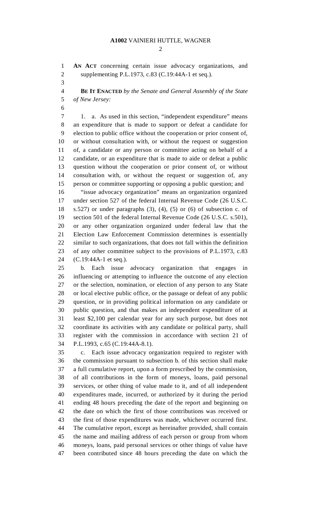#### **A1002** VAINIERI HUTTLE, WAGNER

 $\mathcal{D}_{\mathcal{L}}$ 

1 **AN ACT** concerning certain issue advocacy organizations, and 2 supplementing P.L.1973, c.83 (C.19:44A-1 et seq.).

3

4 **BE IT ENACTED** *by the Senate and General Assembly of the State*  5 *of New Jersey:*

6

7 1. a. As used in this section, "independent expenditure" means 8 an expenditure that is made to support or defeat a candidate for 9 election to public office without the cooperation or prior consent of, 10 or without consultation with, or without the request or suggestion 11 of, a candidate or any person or committee acting on behalf of a 12 candidate, or an expenditure that is made to aide or defeat a public 13 question without the cooperation or prior consent of, or without 14 consultation with, or without the request or suggestion of, any 15 person or committee supporting or opposing a public question; and

16 "issue advocacy organization" means an organization organized 17 under section 527 of the federal Internal Revenue Code (26 U.S.C. 18 s.527) or under paragraphs (3), (4), (5) or (6) of subsection c. of 19 section 501 of the federal Internal Revenue Code (26 U.S.C. s.501), 20 or any other organization organized under federal law that the 21 Election Law Enforcement Commission determines is essentially 22 similar to such organizations, that does not fall within the definition 23 of any other committee subject to the provisions of P.L.1973, c.83 24 (C.19:44A-1 et seq.).

25 b. Each issue advocacy organization that engages in 26 influencing or attempting to influence the outcome of any election 27 or the selection, nomination, or election of any person to any State 28 or local elective public office, or the passage or defeat of any public 29 question, or in providing political information on any candidate or 30 public question, and that makes an independent expenditure of at 31 least \$2,100 per calendar year for any such purpose, but does not 32 coordinate its activities with any candidate or political party, shall 33 register with the commission in accordance with section 21 of 34 P.L.1993, c.65 (C.19:44A-8.1).

35 c. Each issue advocacy organization required to register with 36 the commission pursuant to subsection b. of this section shall make 37 a full cumulative report, upon a form prescribed by the commission, 38 of all contributions in the form of moneys, loans, paid personal 39 services, or other thing of value made to it, and of all independent 40 expenditures made, incurred, or authorized by it during the period 41 ending 48 hours preceding the date of the report and beginning on 42 the date on which the first of those contributions was received or 43 the first of those expenditures was made, whichever occurred first. 44 The cumulative report, except as hereinafter provided, shall contain 45 the name and mailing address of each person or group from whom 46 moneys, loans, paid personal services or other things of value have 47 been contributed since 48 hours preceding the date on which the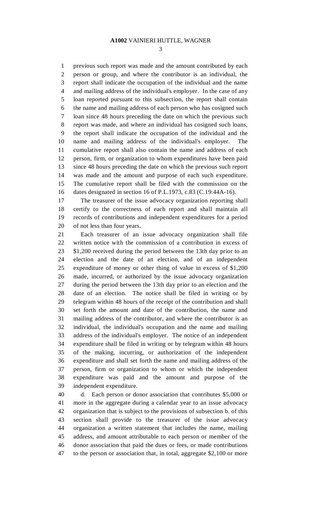#### **A1002** VAINIERI HUTTLE, WAGNER

3

1 previous such report was made and the amount contributed by each 2 person or group, and where the contributor is an individual, the 3 report shall indicate the occupation of the individual and the name 4 and mailing address of the individual's employer. In the case of any 5 loan reported pursuant to this subsection, the report shall contain 6 the name and mailing address of each person who has cosigned such 7 loan since 48 hours preceding the date on which the previous such 8 report was made, and where an individual has cosigned such loans, 9 the report shall indicate the occupation of the individual and the 10 name and mailing address of the individual's employer. The 11 cumulative report shall also contain the name and address of each 12 person, firm, or organization to whom expenditures have been paid 13 since 48 hours preceding the date on which the previous such report 14 was made and the amount and purpose of each such expenditure. 15 The cumulative report shall be filed with the commission on the 16 dates designated in section 16 of P.L.1973, c.83 (C.19:44A-16).

17 The treasurer of the issue advocacy organization reporting shall 18 certify to the correctness of each report and shall maintain all 19 records of contributions and independent expenditures for a period 20 of not less than four years.

21 Each treasurer of an issue advocacy organization shall file 22 written notice with the commission of a contribution in excess of 23 \$1,200 received during the period between the 13th day prior to an 24 election and the date of an election, and of an independent 25 expenditure of money or other thing of value in excess of \$1,200 26 made, incurred, or authorized by the issue advocacy organization 27 during the period between the 13th day prior to an election and the 28 date of an election. The notice shall be filed in writing or by 29 telegram within 48 hours of the receipt of the contribution and shall 30 set forth the amount and date of the contribution, the name and 31 mailing address of the contributor, and where the contributor is an 32 individual, the individual's occupation and the name and mailing 33 address of the individual's employer. The notice of an independent 34 expenditure shall be filed in writing or by telegram within 48 hours 35 of the making, incurring, or authorization of the independent 36 expenditure and shall set forth the name and mailing address of the 37 person, firm or organization to whom or which the independent 38 expenditure was paid and the amount and purpose of the 39 independent expenditure.

40 d. Each person or donor association that contributes \$5,000 or 41 more in the aggregate during a calendar year to an issue advocacy 42 organization that is subject to the provisions of subsection b. of this 43 section shall provide to the treasurer of the issue advocacy 44 organization a written statement that includes the name, mailing 45 address, and amount attributable to each person or member of the 46 donor association that paid the dues or fees, or made contributions 47 to the person or association that, in total, aggregate \$2,100 or more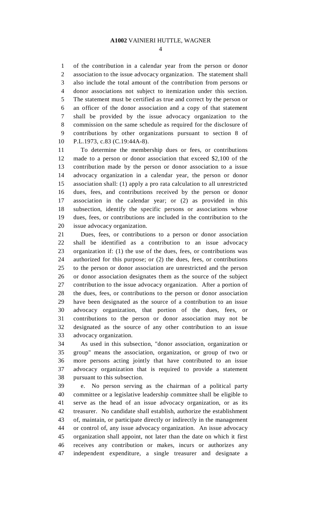4

1 of the contribution in a calendar year from the person or donor 2 association to the issue advocacy organization. The statement shall 3 also include the total amount of the contribution from persons or 4 donor associations not subject to itemization under this section. 5 The statement must be certified as true and correct by the person or 6 an officer of the donor association and a copy of that statement 7 shall be provided by the issue advocacy organization to the 8 commission on the same schedule as required for the disclosure of 9 contributions by other organizations pursuant to section 8 of 10 P.L.1973, c.83 (C.19:44A-8).

11 To determine the membership dues or fees, or contributions 12 made to a person or donor association that exceed \$2,100 of the 13 contribution made by the person or donor association to a issue 14 advocacy organization in a calendar year, the person or donor 15 association shall: (1) apply a pro rata calculation to all unrestricted 16 dues, fees, and contributions received by the person or donor 17 association in the calendar year; or (2) as provided in this 18 subsection, identify the specific persons or associations whose 19 dues, fees, or contributions are included in the contribution to the 20 issue advocacy organization.

21 Dues, fees, or contributions to a person or donor association 22 shall be identified as a contribution to an issue advocacy 23 organization if: (1) the use of the dues, fees, or contributions was 24 authorized for this purpose; or (2) the dues, fees, or contributions 25 to the person or donor association are unrestricted and the person 26 or donor association designates them as the source of the subject 27 contribution to the issue advocacy organization. After a portion of 28 the dues, fees, or contributions to the person or donor association 29 have been designated as the source of a contribution to an issue 30 advocacy organization, that portion of the dues, fees, or 31 contributions to the person or donor association may not be 32 designated as the source of any other contribution to an issue 33 advocacy organization.

34 As used in this subsection, "donor association, organization or 35 group" means the association, organization, or group of two or 36 more persons acting jointly that have contributed to an issue 37 advocacy organization that is required to provide a statement 38 pursuant to this subsection.

39 e. No person serving as the chairman of a political party 40 committee or a legislative leadership committee shall be eligible to 41 serve as the head of an issue advocacy organization, or as its 42 treasurer. No candidate shall establish, authorize the establishment 43 of, maintain, or participate directly or indirectly in the management 44 or control of, any issue advocacy organization. An issue advocacy 45 organization shall appoint, not later than the date on which it first 46 receives any contribution or makes, incurs or authorizes any 47 independent expenditure, a single treasurer and designate a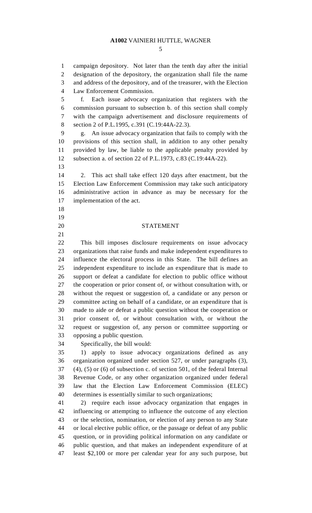#### **A1002** VAINIERI HUTTLE, WAGNER

5

1 campaign depository. Not later than the tenth day after the initial 2 designation of the depository, the organization shall file the name 3 and address of the depository, and of the treasurer, with the Election 4 Law Enforcement Commission.

5 f. Each issue advocacy organization that registers with the 6 commission pursuant to subsection b. of this section shall comply 7 with the campaign advertisement and disclosure requirements of 8 section 2 of P.L.1995, c.391 (C.19:44A-22.3).

9 g. An issue advocacy organization that fails to comply with the 10 provisions of this section shall, in addition to any other penalty 11 provided by law, be liable to the applicable penalty provided by 12 subsection a. of section 22 of P.L.1973, c.83 (C.19:44A-22).

13

14 2. This act shall take effect 120 days after enactment, but the 15 Election Law Enforcement Commission may take such anticipatory 16 administrative action in advance as may be necessary for the 17 implementation of the act.

- 18
- 19
- 
- 21

### 20 STATEMENT

22 This bill imposes disclosure requirements on issue advocacy 23 organizations that raise funds and make independent expenditures to 24 influence the electoral process in this State. The bill defines an 25 independent expenditure to include an expenditure that is made to 26 support or defeat a candidate for election to public office without 27 the cooperation or prior consent of, or without consultation with, or 28 without the request or suggestion of, a candidate or any person or 29 committee acting on behalf of a candidate, or an expenditure that is 30 made to aide or defeat a public question without the cooperation or 31 prior consent of, or without consultation with, or without the 32 request or suggestion of, any person or committee supporting or 33 opposing a public question.

34 Specifically, the bill would:

35 1) apply to issue advocacy organizations defined as any 36 organization organized under section 527, or under paragraphs (3), 37 (4), (5) or (6) of subsection c. of section 501, of the federal Internal 38 Revenue Code, or any other organization organized under federal 39 law that the Election Law Enforcement Commission (ELEC) 40 determines is essentially similar to such organizations;

41 2) require each issue advocacy organization that engages in 42 influencing or attempting to influence the outcome of any election 43 or the selection, nomination, or election of any person to any State 44 or local elective public office, or the passage or defeat of any public 45 question, or in providing political information on any candidate or 46 public question, and that makes an independent expenditure of at 47 least \$2,100 or more per calendar year for any such purpose, but